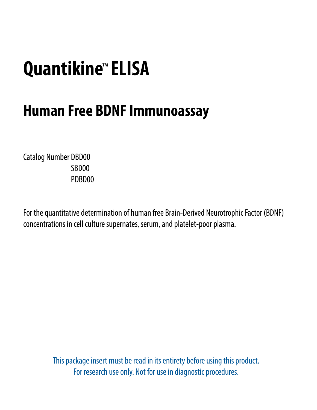# **Quantikine**™ **ELISA**

## **Human Free BDNF Immunoassay**

Catalog Number DBD00 SBD00 PDBD00

For the quantitative determination of human free Brain-Derived Neurotrophic Factor (BDNF) concentrations in cell culture supernates, serum, and platelet-poor plasma.

> This package insert must be read in its entirety before using this product. For research use only. Not for use in diagnostic procedures.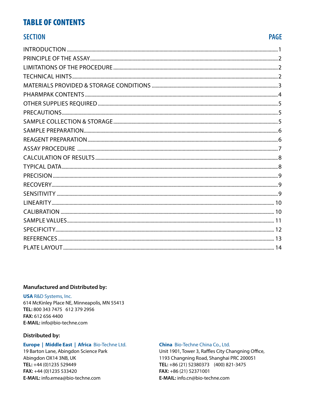#### **TABLE OF CONTENTS**

#### **SECTION**

#### **PAGE**

#### **Manufactured and Distributed by:**

**USA R&D Systems, Inc.** 614 McKinley Place NE, Minneapolis, MN 55413 TEL: 800 343 7475 612 379 2956 FAX: 612 656 4400 E-MAIL: info@bio-techne.com

#### **Distributed by:**

#### Europe | Middle East | Africa Bio-Techne Ltd.

19 Barton Lane, Abingdon Science Park Abingdon OX14 3NB, UK TEL: +44 (0)1235 529449 FAX: +44 (0)1235 533420 E-MAIL: info.emea@bio-techne.com

#### China Bio-Techne China Co., Ltd.

Unit 1901, Tower 3, Raffles City Changning Office, 1193 Changning Road, Shanghai PRC 200051 TEL: +86 (21) 52380373 (400) 821-3475 FAX:  $+86(21)$  52371001 E-MAIL: info.cn@bio-techne.com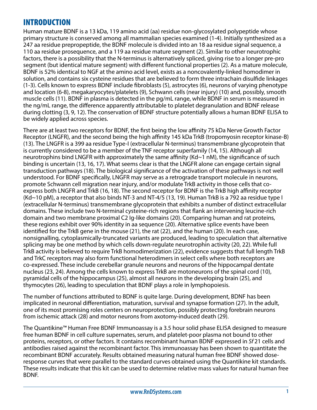## <span id="page-2-0"></span>INTRODUCTION

Human mature BDNF is a 13 kDa, 119 amino acid (aa) residue non-glycosylated polypeptide whose primary structure is conserved among all mammalian species examined (1-4). Initially synthesized as a 247 aa residue prepropeptide, the BDNF molecule is divided into an 18 aa residue signal sequence, a 110 aa residue prosequence, and a 119 aa residue mature segment (2). Similar to other neurotrophic factors, there is a possibility that the N-terminus is alternatively spliced, giving rise to a longer pre-pro segment (but identical mature segment) with different functional properties (2). As a mature molecule, BDNF is 52% identical to NGF at the amino acid level, exists as a noncovalently-linked homodimer in solution, and contains six cysteine residues that are believed to form three intrachain disulfide linkages (1-3). Cells known to express BDNF include fibroblasts (5), astrocytes (6), neurons of varying phenotype and location (6-8), megakaryocytes/platelets (9), Schwann cells (near injury) (10) and, possibly, smooth muscle cells (11). BDNF in plasma is detected in the pg/mL range, while BDNF in serum is measured in the ng/mL range, the difference apparently attributable to platelet degranulation and BDNF release during clotting (3, 9, 12). The conservation of BDNF structure potentially allows a human BDNF ELISA to be widely applied across species.

There are at least two receptors for BDNF, the first being the low affinity 75 kDa Nerve Growth Factor Receptor (LNGFR), and the second being the high affinity 145 kDa TrkB (tropomyosin receptor kinase-B) (13). The LNGFR is a 399 aa residue Type-I (extracellular N-terminus) transmembrane glycoprotein that is currently considered to be a member of the TNF receptor superfamily (14, 15). Although all neurotrophins bind LNGFR with approximately the same affinity (Kd~1 nM), the significance of such binding is uncertain (13, 16, 17). What seems clear is that the LNGFR alone can engage certain signal transduction pathways (18). The biological significance of the activation of these pathways is not well understood. For BDNF specifically, LNGFR may serve as a retrograde transport molecule in neurons, promote Schwann cell migration near injury, and/or modulate TrkB activity in those cells that coexpress both LNGFR and TrkB (16, 18). The second receptor for BDNF is the TrkB high affinity receptor (Kd~10 pM), a receptor that also binds NT-3 and NT-4/5 (13, 19). Human TrkB is a 792 aa residue type I (extracellular N-terminus) transmembrane glycoprotein that exhibits a number of distinct extracellular domains. These include two N-terminal cysteine-rich regions that flank an intervening leucine-rich domain and two membrane proximal C2 Ig-like domains (20). Comparing human and rat proteins, these regions exhibit over 90% identity in aa sequence (20). Alternative splice events have been identified for the TrkB gene in the mouse (21), the rat (22), and the human (20). In each case, nonsignalling, cytoplasmically-truncated variants are produced, leading to speculation that alternative splicing may be one method by which cells down-regulate neurotrophin activity (20, 22). While full TrkB activity is believed to require TrkB homodimerization (22), evidence suggests that full length TrkB and TrkC receptors may also form functional heterodimers in select cells where both receptors are co-expressed. These include cerebellar granule neurons and neurons of the hippocampal dentate nucleus (23, 24). Among the cells known to express TrkB are motoneurons of the spinal cord (10), pyramidal cells of the hippocampus (25), almost all neurons in the developing brain (25), and thymocytes (26), leading to speculation that BDNF plays a role in lymphopoiesis.

The number of functions attributed to BDNF is quite large. During development, BDNF has been implicated in neuronal differentiation, maturation, survival and synapse formation (27). In the adult, one of its most promising roles centers on neuroprotection, possibly protecting forebrain neurons from ischemic attack (28) and motor neurons from axotomy-induced death (29).

The Quantikine™ Human Free BDNF Immunoassay is a 3.5 hour solid phase ELISA designed to measure free human BDNF in cell culture supernates, serum, and platelet-poor plasma not bound to other proteins, receptors, or other factors. It contains recombinant human BDNF expressed in *Sf* 21 cells and antibodies raised against the recombinant factor. This immunoassay has been shown to quantitate the recombinant BDNF accurately. Results obtained measuring natural human free BDNF showed doseresponse curves that were parallel to the standard curves obtained using the Quantikine kit standards. These results indicate that this kit can be used to determine relative mass values for natural human free BDNF.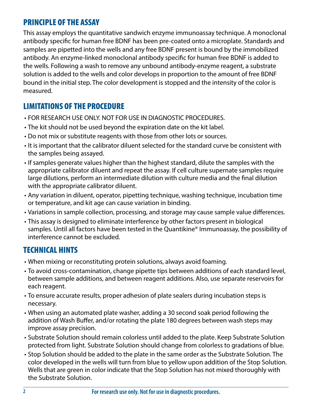## <span id="page-3-0"></span>PRINCIPLE OF THE ASSAY

This assay employs the quantitative sandwich enzyme immunoassay technique. A monoclonal antibody specific for human free BDNF has been pre-coated onto a microplate. Standards and samples are pipetted into the wells and any free BDNF present is bound by the immobilized antibody. An enzyme-linked monoclonal antibody specific for human free BDNF is added to the wells. Following a wash to remove any unbound antibody-enzyme reagent, a substrate solution is added to the wells and color develops in proportion to the amount of free BDNF bound in the initial step. The color development is stopped and the intensity of the color is measured.

## LIMITATIONS OF THE PROCEDURE

- FOR RESEARCH USE ONLY. NOT FOR USE IN DIAGNOSTIC PROCEDURES.
- The kit should not be used beyond the expiration date on the kit label.
- Do not mix or substitute reagents with those from other lots or sources.
- It is important that the calibrator diluent selected for the standard curve be consistent with the samples being assayed.
- If samples generate values higher than the highest standard, dilute the samples with the appropriate calibrator diluent and repeat the assay. If cell culture supernate samples require large dilutions, perform an intermediate dilution with culture media and the final dilution with the appropriate calibrator diluent.
- Any variation in diluent, operator, pipetting technique, washing technique, incubation time or temperature, and kit age can cause variation in binding.
- Variations in sample collection, processing, and storage may cause sample value differences.
- This assay is designed to eliminate interference by other factors present in biological samples. Until all factors have been tested in the Quantikine® Immunoassay, the possibility of interference cannot be excluded.

## TECHNICAL HINTS

- When mixing or reconstituting protein solutions, always avoid foaming.
- To avoid cross-contamination, change pipette tips between additions of each standard level, between sample additions, and between reagent additions. Also, use separate reservoirs for each reagent.
- To ensure accurate results, proper adhesion of plate sealers during incubation steps is necessary.
- When using an automated plate washer, adding a 30 second soak period following the addition of Wash Buffer, and/or rotating the plate 180 degrees between wash steps may improve assay precision.
- Substrate Solution should remain colorless until added to the plate. Keep Substrate Solution protected from light. Substrate Solution should change from colorless to gradations of blue.
- Stop Solution should be added to the plate in the same order as the Substrate Solution. The color developed in the wells will turn from blue to yellow upon addition of the Stop Solution. Wells that are green in color indicate that the Stop Solution has not mixed thoroughly with the Substrate Solution.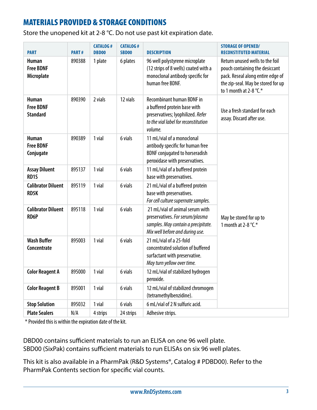## <span id="page-4-0"></span>MATERIALS PROVIDED & STORAGE CONDITIONS

Store the unopened kit at 2-8 °C. Do not use past kit expiration date.

| <b>PART</b>                                         | PART#                   | <b>CATALOG#</b><br><b>DBD00</b> | <b>CATALOG#</b><br><b>SBD00</b> | <b>DESCRIPTION</b>                                                                                                                                       | <b>STORAGE OF OPENED/</b><br><b>RECONSTITUTED MATERIAL</b>                                                                                                             |  |
|-----------------------------------------------------|-------------------------|---------------------------------|---------------------------------|----------------------------------------------------------------------------------------------------------------------------------------------------------|------------------------------------------------------------------------------------------------------------------------------------------------------------------------|--|
| <b>Human</b><br><b>Free BDNF</b><br>Microplate      | 890388                  | 1 plate                         | 6 plates                        | 96 well polystyrene microplate<br>(12 strips of 8 wells) coated with a<br>monoclonal antibody specific for<br>human free BDNF.                           | Return unused wells to the foil<br>pouch containing the desiccant<br>pack. Reseal along entire edge of<br>the zip-seal. May be stored for up<br>to 1 month at 2-8 °C.* |  |
| <b>Human</b><br><b>Free BDNF</b><br><b>Standard</b> | 890390                  | 2 vials                         | 12 vials                        | <b>Recombinant human BDNF in</b><br>a buffered protein base with<br>preservatives; lyophilized. Refer<br>to the vial label for reconstitution<br>volume. | Use a fresh standard for each<br>assay. Discard after use.                                                                                                             |  |
| <b>Human</b><br><b>Free BDNF</b><br>Conjugate       | 890389                  | 1 vial                          | 6 vials                         | 11 mL/vial of a monoclonal<br>antibody specific for human free<br><b>BDNF</b> conjugated to horseradish<br>peroxidase with preservatives.                |                                                                                                                                                                        |  |
| <b>Assay Diluent</b><br>RD1S                        | 895137                  | 1 vial                          | 6 vials                         | 11 mL/vial of a buffered protein<br>base with preservatives.                                                                                             |                                                                                                                                                                        |  |
| <b>Calibrator Diluent</b><br><b>RD5K</b>            | 895119                  | 1 vial                          | 6 vials                         | 21 mL/vial of a buffered protein<br>base with preservatives.<br>For cell culture supernate samples.                                                      |                                                                                                                                                                        |  |
| <b>Calibrator Diluent</b><br><b>RD6P</b>            | 895118                  | 1 vial                          | 6 vials                         | 21 mL/vial of animal serum with<br>preservatives. For serum/plasma<br>samples. May contain a precipitate.<br>Mix well before and during use.             | May be stored for up to<br>1 month at 2-8 $\degree$ C.*                                                                                                                |  |
| <b>Wash Buffer</b><br>Concentrate                   | 895003                  | 1 vial                          | 6 vials                         | 21 mL/vial of a 25-fold<br>concentrated solution of buffered<br>surfactant with preservative.<br>May turn yellow over time.                              |                                                                                                                                                                        |  |
| <b>Color Reagent A</b>                              | 895000                  | 1 vial                          | 6 vials                         | 12 mL/vial of stabilized hydrogen<br>peroxide.                                                                                                           |                                                                                                                                                                        |  |
| <b>Color Reagent B</b>                              | 895001                  | 1 vial                          | 6 vials                         | 12 mL/vial of stabilized chromogen<br>(tetramethylbenzidine).                                                                                            |                                                                                                                                                                        |  |
| <b>Stop Solution</b>                                | 895032                  | 1 vial                          | 6 vials                         | 6 mL/vial of 2 N sulfuric acid.                                                                                                                          |                                                                                                                                                                        |  |
| <b>Plate Sealers</b>                                | $\mathsf{N}/\mathsf{A}$ | 4 strips                        | 24 strips                       | Adhesive strips.                                                                                                                                         |                                                                                                                                                                        |  |

\* Provided this is within the expiration date of the kit.

DBD00 contains sufficient materials to run an ELISA on one 96 well plate. SBD00 (SixPak) contains sufficient materials to run ELISAs on six 96 well plates.

This kit is also available in a PharmPak (R&D Systems®, Catalog # PDBD00). Refer to the PharmPak Contents section for specific vial counts.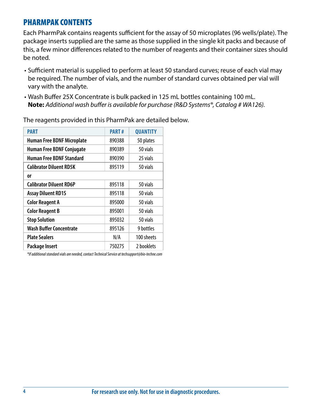#### <span id="page-5-0"></span>PHARMPAK CONTENTS

Each PharmPak contains reagents sufficient for the assay of 50 microplates (96 wells/plate). The package inserts supplied are the same as those supplied in the single kit packs and because of this, a few minor differences related to the number of reagents and their container sizes should be noted.

- Sufficient material is supplied to perform at least 50 standard curves; reuse of each vial may be required. The number of vials, and the number of standard curves obtained per vial will vary with the analyte.
- Wash Buffer 25X Concentrate is bulk packed in 125 mL bottles containing 100 mL. **Note:** *Additional wash buffer is available for purchase (R&D Systems®, Catalog # WA126).*

| <b>PART</b>                       | <b>PART#</b> | <b>QUANTITY</b> |
|-----------------------------------|--------------|-----------------|
| <b>Human Free BDNF Microplate</b> | 890388       | 50 plates       |
| <b>Human Free BDNF Conjugate</b>  | 890389       | 50 vials        |
| <b>Human Free BDNF Standard</b>   | 890390       | 25 vials        |
| <b>Calibrator Diluent RD5K</b>    | 895119       | 50 vials        |
| 0r                                |              |                 |
| <b>Calibrator Diluent RD6P</b>    | 895118       | 50 vials        |
| <b>Assay Diluent RD1S</b>         | 895118       | 50 vials        |
| <b>Color Reagent A</b>            | 895000       | 50 vials        |
| <b>Color Reagent B</b>            | 895001       | 50 vials        |
| <b>Stop Solution</b>              | 895032       | 50 vials        |
| <b>Wash Buffer Concentrate</b>    | 895126       | 9 bottles       |
| <b>Plate Sealers</b>              | N/A          | 100 sheets      |
| <b>Package Insert</b>             | 750275       | 2 booklets      |

The reagents provided in this PharmPak are detailed below.

*\*If additional standard vials are needed, contact Technical Service at techsupport@bio-techne.com*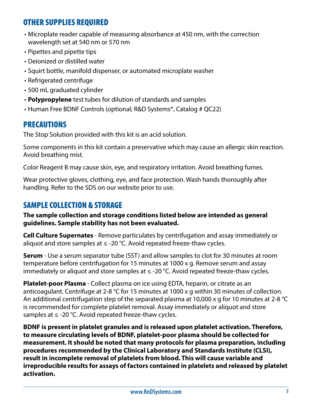## <span id="page-6-0"></span>OTHER SUPPLIES REQUIRED

- Microplate reader capable of measuring absorbance at 450 nm, with the correction wavelength set at 540 nm or 570 nm
- Pipettes and pipette tips
- Deionized or distilled water
- Squirt bottle, manifold dispenser, or automated microplate washer
- Refrigerated centrifuge
- 500 mL graduated cylinder
- **Polypropylene** test tubes for dilution of standards and samples
- Human Free BDNF Controls (optional; R&D Systems®, Catalog # QC22)

## PRECAUTIONS

The Stop Solution provided with this kit is an acid solution.

Some components in this kit contain a preservative which may cause an allergic skin reaction. Avoid breathing mist.

Color Reagent B may cause skin, eye, and respiratory irritation. Avoid breathing fumes.

Wear protective gloves, clothing, eye, and face protection. Wash hands thoroughly after handling. Refer to the SDS on our website prior to use.

## SAMPLE COLLECTION & STORAGE

**The sample collection and storage conditions listed below are intended as general guidelines. Sample stability has not been evaluated.**

**Cell Culture Supernates** - Remove particulates by centrifugation and assay immediately or aliquot and store samples at  $\leq$  -20 °C. Avoid repeated freeze-thaw cycles.

**Serum** - Use a serum separator tube (SST) and allow samples to clot for 30 minutes at room temperature before centrifugation for 15 minutes at 1000 x g. Remove serum and assay immediately or aliquot and store samples at  $\leq$  -20 °C. Avoid repeated freeze-thaw cycles.

**Platelet-poor Plasma** - Collect plasma on ice using EDTA, heparin, or citrate as an anticoagulant. Centrifuge at 2-8 °C for 15 minutes at 1000 x g within 30 minutes of collection. An additional centrifugation step of the separated plasma at 10,000 x q for 10 minutes at 2-8  $^{\circ}$ C is recommended for complete platelet removal. Assay immediately or aliquot and store samples at  $\leq$  -20 °C. Avoid repeated freeze-thaw cycles.

**BDNF is present in platelet granules and is released upon platelet activation. Therefore, to measure circulating levels of BDNF, platelet-poor plasma should be collected for measurement. It should be noted that many protocols for plasma preparation, including procedures recommended by the Clinical Laboratory and Standards Institute (CLSI), result in incomplete removal of platelets from blood. This will cause variable and irreproducible results for assays of factors contained in platelets and released by platelet activation.**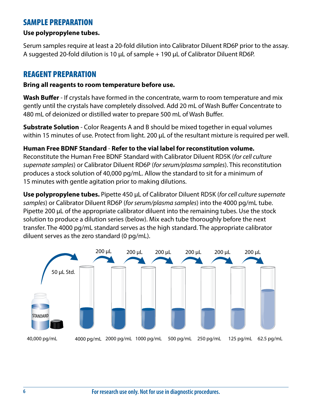#### <span id="page-7-0"></span>SAMPLE PREPARATION

#### **Use polypropylene tubes.**

Serum samples require at least a 20-fold dilution into Calibrator Diluent RD6P prior to the assay. A suggested 20-fold dilution is 10 μL of sample + 190 μL of Calibrator Diluent RD6P.

#### REAGENT PREPARATION

#### **Bring all reagents to room temperature before use.**

**Wash Buffer** - If crystals have formed in the concentrate, warm to room temperature and mix gently until the crystals have completely dissolved. Add 20 mL of Wash Buffer Concentrate to 480 mL of deionized or distilled water to prepare 500 mL of Wash Buffer.

**Substrate Solution** - Color Reagents A and B should be mixed together in equal volumes within 15 minutes of use. Protect from light. 200 μL of the resultant mixture is required per well.

#### **Human Free BDNF Standard** - **Refer to the vial label for reconstitution volume.**

Reconstitute the Human Free BDNF Standard with Calibrator Diluent RD5K (*for cell culture supernate samples*) or Calibrator Diluent RD6P (*for serum/plasma samples*). This reconstitution produces a stock solution of 40,000 pg/mL. Allow the standard to sit for a minimum of 15 minutes with gentle agitation prior to making dilutions.

**Use polypropylene tubes.** Pipette 450 μL of Calibrator Diluent RD5K (*for cell culture supernate samples*) or Calibrator Diluent RD6P (*for serum/plasma samples*) into the 4000 pg/mL tube. Pipette 200 μL of the appropriate calibrator diluent into the remaining tubes. Use the stock solution to produce a dilution series (below). Mix each tube thoroughly before the next transfer. The 4000 pg/mL standard serves as the high standard. The appropriate calibrator diluent serves as the zero standard (0 pg/mL).

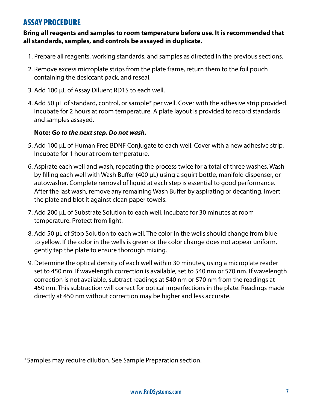#### <span id="page-8-0"></span>ASSAY PROCEDURE

#### **Bring all reagents and samples to room temperature before use. It is recommended that all standards, samples, and controls be assayed in duplicate.**

- 1. Prepare all reagents, working standards, and samples as directed in the previous sections.
- 2. Remove excess microplate strips from the plate frame, return them to the foil pouch containing the desiccant pack, and reseal.
- 3. Add 100 μL of Assay Diluent RD1S to each well.
- 4. Add 50 μL of standard, control, or sample\* per well. Cover with the adhesive strip provided. Incubate for 2 hours at room temperature. A plate layout is provided to record standards and samples assayed.

#### **Note:** *Go to the next step. Do not wash.*

- 5. Add 100 μL of Human Free BDNF Conjugate to each well. Cover with a new adhesive strip. Incubate for 1 hour at room temperature.
- 6. Aspirate each well and wash, repeating the process twice for a total of three washes. Wash by filling each well with Wash Buffer (400 μL) using a squirt bottle, manifold dispenser, or autowasher. Complete removal of liquid at each step is essential to good performance. After the last wash, remove any remaining Wash Buffer by aspirating or decanting. Invert the plate and blot it against clean paper towels.
- 7. Add 200 μL of Substrate Solution to each well. Incubate for 30 minutes at room temperature. Protect from light.
- 8. Add 50 μL of Stop Solution to each well. The color in the wells should change from blue to yellow. If the color in the wells is green or the color change does not appear uniform, gently tap the plate to ensure thorough mixing.
- 9. Determine the optical density of each well within 30 minutes, using a microplate reader set to 450 nm. If wavelength correction is available, set to 540 nm or 570 nm. If wavelength correction is not available, subtract readings at 540 nm or 570 nm from the readings at 450 nm. This subtraction will correct for optical imperfections in the plate. Readings made directly at 450 nm without correction may be higher and less accurate.

\*Samples may require dilution. See Sample Preparation section.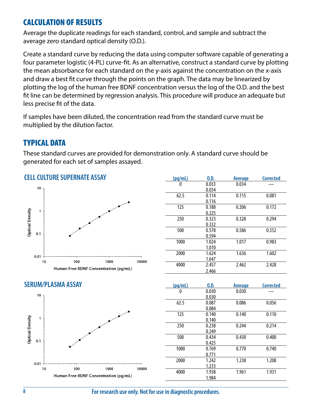#### <span id="page-9-0"></span>CALCULATION OF RESULTS

Average the duplicate readings for each standard, control, and sample and subtract the average zero standard optical density (O.D.).

Create a standard curve by reducing the data using computer software capable of generating a four parameter logistic (4-PL) curve-fit. As an alternative, construct a standard curve by plotting the mean absorbance for each standard on the y-axis against the concentration on the x-axis and draw a best fit curve through the points on the graph. The data may be linearized by plotting the log of the human free BDNF concentration versus the log of the O.D. and the best fit line can be determined by regression analysis. This procedure will produce an adequate but less precise fit of the data.

If samples have been diluted, the concentration read from the standard curve must be multiplied by the dilution factor.

## TYPICAL DATA

These standard curves are provided for demonstration only. A standard curve should be generated for each set of samples assayed.



| (pq/mL) | 0.D.  | <b>Average</b> | <b>Corrected</b> |
|---------|-------|----------------|------------------|
| 0       | 0.033 | 0.034          |                  |
|         | 0.034 |                |                  |
| 62.5    | 0.114 | 0.115          | 0.081            |
|         | 0.116 |                |                  |
| 125     | 0.188 | 0.206          | 0.172            |
|         | 0.225 |                |                  |
| 250     | 0.323 | 0.328          | 0.294            |
|         | 0.332 |                |                  |
| 500     | 0.578 | 0.586          | 0.552            |
|         | 0.594 |                |                  |
| 1000    | 1.024 | 1.017          | 0.983            |
|         | 1.010 |                |                  |
| 2000    | 1.624 | 1.636          | 1.602            |
|         | 1.647 |                |                  |
| 4000    | 2.457 | 2.462          | 2.428            |
|         | 2.466 |                |                  |

#### **CELL CULTURE SUPERNATE ASSAY**





| (pq/mL) | 0.D.  | <b>Average</b> | <b>Corrected</b> |
|---------|-------|----------------|------------------|
| 0       | 0.030 | 0.030          |                  |
|         | 0.030 |                |                  |
| 62.5    | 0.087 | 0.086          | 0.056            |
|         | 0.084 |                |                  |
| 125     | 0.140 | 0.140          | 0.110            |
|         | 0.140 |                |                  |
| 250     | 0.238 | 0.244          | 0.214            |
|         | 0.249 |                |                  |
| 500     | 0.434 | 0.430          | 0.400            |
|         | 0.425 |                |                  |
| 1000    | 0.769 | 0.770          | 0.740            |
|         | 0.771 |                |                  |
| 2000    | 1.242 | 1.238          | 1.208            |
|         | 1.233 |                |                  |
| 4000    | 1.938 | 1.961          | 1.931            |
|         | 1.984 |                |                  |

**8 For research use only. Not for use in diagnostic procedures.**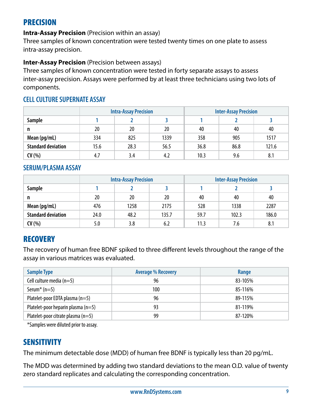## <span id="page-10-0"></span>PRECISION

#### **Intra-Assay Precision** (Precision within an assay)

Three samples of known concentration were tested twenty times on one plate to assess intra-assay precision.

#### **Inter-Assay Precision** (Precision between assays)

Three samples of known concentration were tested in forty separate assays to assess inter-assay precision. Assays were performed by at least three technicians using two lots of components.

#### **CELL CULTURE SUPERNATE ASSAY**

|                           | <b>Intra-Assay Precision</b> |      |      | <b>Inter-Assay Precision</b> |      |       |
|---------------------------|------------------------------|------|------|------------------------------|------|-------|
| Sample                    |                              |      |      |                              |      |       |
| n                         | 20                           | 20   | 20   | 40                           | 40   | 40    |
| Mean (pg/mL)              | 334                          | 825  | 1339 | 358                          | 905  | 1517  |
| <b>Standard deviation</b> | 15.6                         | 28.3 | 56.5 | 36.8                         | 86.8 | 121.6 |
| CV(%)                     | 4.7                          | 3.4  | 4.2  | 10.3                         | 9.6  | 8.1   |

#### **SERUM/PLASMA ASSAY**

|                           |      | <b>Intra-Assay Precision</b> |       | <b>Inter-Assay Precision</b> |       |       |
|---------------------------|------|------------------------------|-------|------------------------------|-------|-------|
| <b>Sample</b>             |      |                              |       |                              |       |       |
| n                         | 20   | 20                           | 20    | 40                           | 40    | 40    |
| Mean (pg/mL)              | 476  | 1258                         | 2175  | 528                          | 1338  | 2287  |
| <b>Standard deviation</b> | 24.0 | 48.2                         | 135.7 | 59.7                         | 102.3 | 186.0 |
| CV(%)                     | 5.0  | 3.8                          | 6.2   | 11.3                         | 7.6   | 8.1   |

## **RECOVERY**

The recovery of human free BDNF spiked to three different levels throughout the range of the assay in various matrices was evaluated.

| <b>Sample Type</b>                     | <b>Average % Recovery</b> | Range   |
|----------------------------------------|---------------------------|---------|
| Cell culture media $(n=5)$             | 96                        | 83-105% |
| Serum <sup>*</sup> $(n=5)$             | 100                       | 85-116% |
| Platelet-poor EDTA plasma $(n=5)$      | 96                        | 89-115% |
| Platelet-poor heparin plasma $(n=5)$   | 93                        | 81-119% |
| Platelet-poor citrate plasma ( $n=5$ ) | 99                        | 87-120% |

\*Samples were diluted prior to assay.

## **SENSITIVITY**

The minimum detectable dose (MDD) of human free BDNF is typically less than 20 pg/mL.

The MDD was determined by adding two standard deviations to the mean O.D. value of twenty zero standard replicates and calculating the corresponding concentration.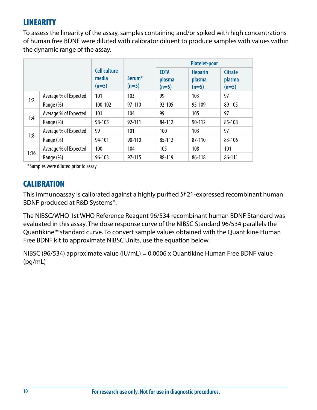## <span id="page-11-0"></span>LINEARITY

To assess the linearity of the assay, samples containing and/or spiked with high concentrations of human free BDNF were diluted with calibrator diluent to produce samples with values within the dynamic range of the assay.

|      |                       |                                         |                               | <b>Platelet-poor</b>             |                                     |                                     |
|------|-----------------------|-----------------------------------------|-------------------------------|----------------------------------|-------------------------------------|-------------------------------------|
|      |                       | <b>Cell culture</b><br>media<br>$(n=5)$ | Serum <sup>*</sup><br>$(n=5)$ | <b>EDTA</b><br>plasma<br>$(n=5)$ | <b>Heparin</b><br>plasma<br>$(n=5)$ | <b>Citrate</b><br>plasma<br>$(n=5)$ |
|      | Average % of Expected | 101                                     | 103                           | 99                               | 103                                 | 97                                  |
| 1:2  | Range (%)             | 100-102                                 | 97-110                        | $92 - 105$                       | 95-109                              | 89-105                              |
|      | Average % of Expected | 101                                     | 104                           | 99                               | 105                                 | 97                                  |
| 1:4  | Range (%)             | 98-105                                  | 92-111                        | 84-112                           | 90-112                              | 85-108                              |
|      | Average % of Expected | 99                                      | 101                           | 100                              | 103                                 | 97                                  |
| 1:8  | Range (%)             | 94-101                                  | 90-110                        | 85-112                           | 87-110                              | 83-106                              |
|      | Average % of Expected | 100                                     | 104                           | 105                              | 108                                 | 101                                 |
| 1:16 | Range (%)             | $96 - 103$                              | 97-115                        | 88-119                           | 86-118                              | 86-111                              |

\*Samples were diluted prior to assay.

## **CALIBRATION**

This immunoassay is calibrated against a highly purified *Sf* 21-expressed recombinant human BDNF produced at R&D Systems®.

The NIBSC/WHO 1st WHO Reference Reagent 96/534 recombinant human BDNF Standard was evaluated in this assay. The dose response curve of the NIBSC Standard 96/534 parallels the Quantikine™ standard curve. To convert sample values obtained with the Quantikine Human Free BDNF kit to approximate NIBSC Units, use the equation below.

NIBSC (96/534) approximate value (IU/mL) = 0.0006 x Quantikine Human Free BDNF value (pg/mL)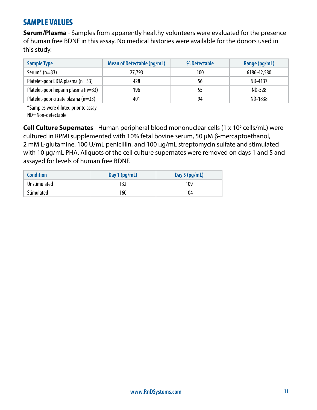## <span id="page-12-0"></span>SAMPLE VALUES

**Serum/Plasma** - Samples from apparently healthy volunteers were evaluated for the presence of human free BDNF in this assay. No medical histories were available for the donors used in this study.

| <b>Sample Type</b>                    | Mean of Detectable (pg/mL) | % Detectable | Range (pg/mL)  |
|---------------------------------------|----------------------------|--------------|----------------|
| Serum <sup>*</sup> ( $n=33$ )         | 27,793                     | 100          | 6186-42,580    |
| Platelet-poor EDTA plasma $(n=33)$    | 428                        | 56           | ND-4137        |
| Platelet-poor heparin plasma $(n=33)$ | 196                        | 55           | ND-528         |
| Platelet-poor citrate plasma $(n=33)$ | 401                        | 94           | <b>ND-1838</b> |

\*Samples were diluted prior to assay.

ND=Non-detectable

**Cell Culture Supernates** - Human peripheral blood mononuclear cells (1 x 10<sup>6</sup> cells/mL) were cultured in RPMI supplemented with 10% fetal bovine serum, 50 μM β-mercaptoethanol, 2 mM L-glutamine, 100 U/mL penicillin, and 100 μg/mL streptomycin sulfate and stimulated with 10 μg/mL PHA. Aliquots of the cell culture supernates were removed on days 1 and 5 and assayed for levels of human free BDNF.

| <b>Condition</b>    | Day $1$ (pg/mL) | Day 5 $(pg/mL)$ |
|---------------------|-----------------|-----------------|
| <b>Unstimulated</b> | 132             | 109             |
| Stimulated          | 160             | 104             |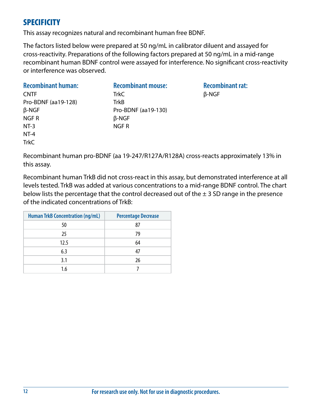## <span id="page-13-0"></span>**SPECIFICITY**

This assay recognizes natural and recombinant human free BDNF.

The factors listed below were prepared at 50 ng/mL in calibrator diluent and assayed for cross-reactivity. Preparations of the following factors prepared at 50 ng/mL in a mid-range recombinant human BDNF control were assayed for interference. No significant cross-reactivity or interference was observed.

| <b>Recombinant human:</b> | <b>Recombinant mouse:</b> |
|---------------------------|---------------------------|
| <b>CNTF</b>               | <b>TrkC</b>               |
| Pro-BDNF (aa19-128)       | TrkB                      |
| $\beta$ -NGF              | Pro-BDNF (aa19-130)       |
| NGF <sub>R</sub>          | $\beta$ -NGF              |
| $NT-3$                    | NGF <sub>R</sub>          |
| $NT-4$                    |                           |
| <b>TrkC</b>               |                           |

**Recombinant rat:** β-NGF

Recombinant human pro-BDNF (aa 19-247/R127A/R128A) cross-reacts approximately 13% in this assay.

Recombinant human TrkB did not cross-react in this assay, but demonstrated interference at all levels tested. TrkB was added at various concentrations to a mid-range BDNF control. The chart below lists the percentage that the control decreased out of the  $\pm$  3 SD range in the presence of the indicated concentrations of TrkB:

| <b>Human TrkB Concentration (ng/mL)</b> | <b>Percentage Decrease</b> |
|-----------------------------------------|----------------------------|
| 50                                      | 87                         |
| 25                                      | 79                         |
| 12.5                                    | 64                         |
| 6.3                                     | 47                         |
| 3.1                                     | 26                         |
| 1.6                                     |                            |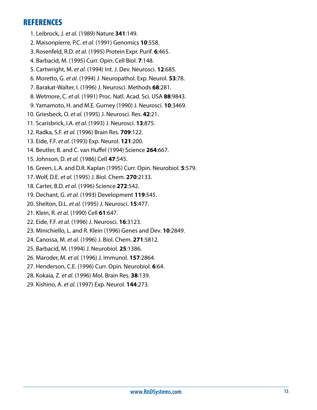#### <span id="page-14-0"></span>**REFERENCES**

- 1. Leibrock, J. *et al.* (1989) Nature **341**:149.
- 2. Maisonpierre, P.C. *et al.* (1991) Genomics **10**:558.
- 3. Rosenfeld, R.D. *et al.* (1995) Protein Expr. Purif. **6**:465.
- 4. Barbacid, M. (1995) Curr. Opin. Cell Biol. **7**:148.
- 5. Cartwright, M. *et al.* (1994) Int. J. Dev. Neurosci. **12**:685.
- 6. Moretto, G. *et al.* (1994) J. Neuropathol. Exp. Neurol. **53**:78.
- 7. Barakat-Walter, I. (1996) J. Neurosci. Methods **68**:281.
- 8. Wetmore, C. *et al.* (1991) Proc. Natl. Acad. Sci. USA **88**:9843.
- 9. Yamamoto, H. and M.E. Gurney (1990) J. Neurosci. **10**:3469.
- 10. Griesbeck, O. *et al.* (1995) J. Neurosci. Res. **42**:21.
- 11. Scarisbrick, I.A. *et al.* (1993) J. Neurosci. **13**:875.
- 12. Radka, S.F. *et al.* (1996) Brain Res. **709**:122.
- 13. Eide, F.F. *et al.* (1993) Exp. Neurol. **121**:200.
- 14. Beutler, B. and C. van Huffel (1994) Science **264**:667.
- 15. Johnson, D. *et al.* (1986) Cell **47**:545.
- 16. Green, L.A. and D.R. Kaplan (1995) Curr. Opin. Neurobiol. **5**:579.
- 17. Wolf, D.E. *et al.* (1995) J. Biol. Chem. **270**:2133.
- 18. Carter, B.D. *et al.* (1996) Science **272**:542.
- 19. Dechant, G. *et al.* (1993) Development **119**:545.
- 20. Shelton, D.L. *et al.* (1995) J. Neurosci. **15**:477.
- 21. Klein, R. *et al.* (1990) Cell **61**:647.
- 22. Eide, F.F. *et al.* (1996) J. Neurosci. **16**:3123.
- 23. Minichiello, L. and R. Klein (1996) Genes and Dev. **10**:2849.
- 24. Canossa, M. *et al.* (1996) J. Biol. Chem. **271**:5812.
- 25. Barbacid, M. (1994) J. Neurobiol. **25**:1386.
- 26. Maroder, M. *et al.* (1996) J. Immunol. **157**:2864.
- 27. Henderson, C.E. (1996) Curr. Opin. Neurobiol. **6**:64.
- 28. Kokaia, Z. *et al.* (1996) Mol. Brain Res. **38**:139.
- 29. Kishino, A. *et al.* (1997) Exp. Neurol. **144**:273.